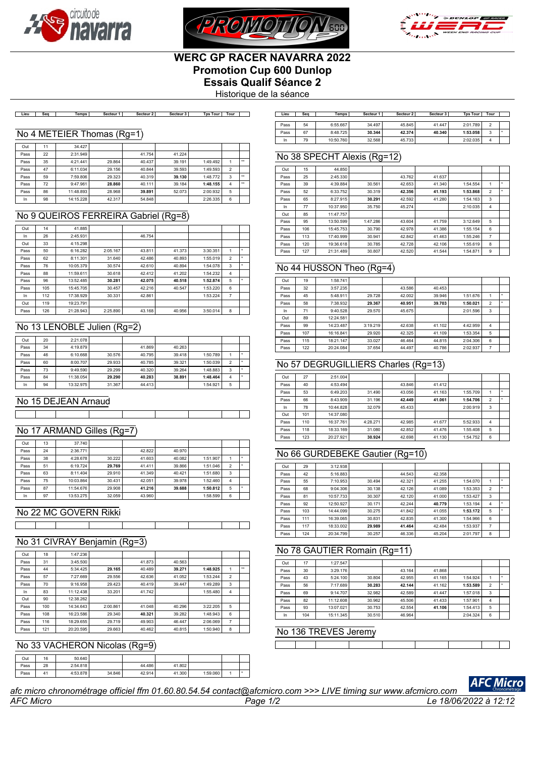





# **WERC GP RACER NAVARRA 2022 Promotion Cup 600 Dunlop Essais Qualif Séance 2**

Historique de la séance

Lieu | Seq | Temps| Secteur1| Secteur2| Secteur3| TpsTour|Tour | | Lieu | Seq | Temps| Secteur1| Secteur2| Secteur3| TpsTour|Tour

#### No 4 METEIER Thomas (Rg=1)

| Out  | 11 | 34.427    |        |        |        |          |                |              |
|------|----|-----------|--------|--------|--------|----------|----------------|--------------|
| Pass | 22 | 2:31.949  |        | 41.754 | 41.224 |          |                |              |
| Pass | 35 | 4:21.441  | 29.864 | 40.437 | 39.191 | 1:49.492 |                | $\star\star$ |
| Pass | 47 | 6:11.034  | 29.156 | 40.844 | 39.593 | 1:49.593 | $\overline{2}$ |              |
| Pass | 59 | 7:59.806  | 29.323 | 40.319 | 39.130 | 1:48.772 | 3              | $\star\star$ |
| Pass | 72 | 9:47.961  | 28.860 | 40.111 | 39.184 | 1:48.155 | 4              | $\star\star$ |
| Pass | 86 | 11:48.893 | 28.968 | 39.891 | 52.073 | 2:00.932 | 5              |              |
| In   | 98 | 14:15.228 | 42.317 | 54.848 |        | 2:26.335 | 6              |              |

### No 9 QUEIROS FERREIRA Gabriel (Rg=8)

| Out  | 14  | 41.885    |          |        |        |          |                |   |
|------|-----|-----------|----------|--------|--------|----------|----------------|---|
| In   | 26  | 2:45.931  |          | 46.754 |        |          |                |   |
| Out  | 33  | 4:15.298  |          |        |        |          |                |   |
| Pass | 50  | 6:16.282  | 2:05.167 | 43.811 | 41.373 | 3:30.351 |                | ٠ |
| Pass | 62  | 8:11.301  | 31.640   | 42.486 | 40.893 | 1:55.019 | $\overline{2}$ |   |
| Pass | 76  | 10:05.379 | 30.574   | 42.610 | 40.894 | 1:54.078 | 3              |   |
| Pass | 88  | 11:59.611 | 30.618   | 42.412 | 41.202 | 1:54.232 | 4              |   |
| Pass | 96  | 13:52.485 | 30.281   | 42.075 | 40.518 | 1:52.874 | 5              |   |
| Pass | 105 | 15:45.705 | 30.457   | 42.216 | 40.547 | 1:53.220 | 6              |   |
| In   | 112 | 17:38.929 | 30.331   | 42.861 |        | 1:53.224 | $\overline{7}$ |   |
| Out  | 119 | 19:23.791 |          |        |        |          |                |   |
| Pass | 126 | 21:28.943 | 2:25.890 | 43.168 | 40.956 | 3:50.014 | 8              |   |

### No 13 LENOBLE Julien (Rg=2)

| Out  | 20 | 2:21.078  |        |        |        |          |                          |  |
|------|----|-----------|--------|--------|--------|----------|--------------------------|--|
| Pass | 34 | 4:19.879  |        | 41.869 | 40.263 |          |                          |  |
| Pass | 46 | 6:10.668  | 30.576 | 40.795 | 39.418 | 1:50.789 |                          |  |
| Pass | 60 | 8:00.707  | 29.933 | 40.785 | 39.321 | 1:50.039 | $\overline{\phantom{a}}$ |  |
| Pass | 73 | 9:49.590  | 29.299 | 40.320 | 39.264 | 1:48.883 | 3                        |  |
| Pass | 84 | 11:38.054 | 29.290 | 40.283 | 38.891 | 1:48.464 | 4                        |  |
| In   | 94 | 13:32.975 | 31.367 | 44.413 |        | 1:54.921 | 5                        |  |

# No 15 DEJEAN Arnaud

### No 17 ARMAND Gilles (Rg=7)

| Out  | 13 | 37.740    |        |        |        |          |                          |  |
|------|----|-----------|--------|--------|--------|----------|--------------------------|--|
| Pass | 24 | 2:36.771  |        | 42.822 | 40.970 |          |                          |  |
| Pass | 38 | 4:28.678  | 30.222 | 41.603 | 40.082 | 1:51.907 |                          |  |
| Pass | 51 | 6:19.724  | 29.769 | 41.411 | 39.866 | 1:51.046 | $\overline{\phantom{a}}$ |  |
| Pass | 63 | 8:11.404  | 29.910 | 41.349 | 40.421 | 1:51.680 | 3                        |  |
| Pass | 75 | 10:03.864 | 30.431 | 42.051 | 39.978 | 1:52.460 | 4                        |  |
| Pass | 87 | 11:54.676 | 29.908 | 41.216 | 39.688 | 1:50.812 | 5                        |  |
| In   | 97 | 13:53.275 | 32.059 | 43.960 |        | 1:58.599 | 6                        |  |

#### No 22 MC GOVERN Rikki

| . . | __<br>and the contract of the contract of<br>ш |  |
|-----|------------------------------------------------|--|
|     |                                                |  |
|     |                                                |  |
|     |                                                |  |

# No 31 CIVRAY Benjamin (Rg=3)

| Out  | 18  | 1:47.236  |          |        |        |          |                |              |
|------|-----|-----------|----------|--------|--------|----------|----------------|--------------|
| Pass | 31  | 3:45.500  |          | 41.873 | 40.563 |          |                |              |
| Pass | 44  | 5:34.425  | 29.165   | 40.489 | 39.271 | 1:48.925 | 1              | $\star\star$ |
| Pass | 57  | 7:27.669  | 29.556   | 42.636 | 41.052 | 1:53.244 | $\overline{2}$ |              |
| Pass | 70  | 9:16.958  | 29.423   | 40.419 | 39.447 | 1:49.289 | 3              |              |
| In   | 83  | 11:12.438 | 33.201   | 41.742 |        | 1:55.480 | 4              |              |
| Out  | 90  | 12:38.262 |          |        |        |          |                |              |
| Pass | 100 | 14:34.643 | 2:00.861 | 41.048 | 40.296 | 3:22.205 | 5              |              |
| Pass | 108 | 16:23.586 | 29.340   | 40.321 | 39.282 | 1:48.943 | 6              |              |
| Pass | 116 | 18:29.655 | 29.719   | 49.903 | 46.447 | 2:06.069 | $\overline{7}$ |              |
| Pass | 121 | 20:20.595 | 29.663   | 40.462 | 40.815 | 1:50.940 | 8              |              |

#### No 33 VACHERON Nicolas (Rg=9)

| Out  | 16 | 50.640   |        |        |        |          |  |
|------|----|----------|--------|--------|--------|----------|--|
| Pass | 28 | 2:54.818 |        | 44.486 | 41.802 |          |  |
| Pass | 41 | 4:53.878 | 34.846 | 42.914 | 41.300 | 1:59.060 |  |

| Lieu | Sea | Temps     | Secteur 1 | Secteur 2 | Secteur 3 | <b>Tps Tour</b> | Tour   |  |
|------|-----|-----------|-----------|-----------|-----------|-----------------|--------|--|
| Pass | 54  | 6:55.667  | 34.497    | 45.845    | 41.447    | 2:01.789        | $\sim$ |  |
| Pass | 67  | 8:48.725  | 30.344    | 42.374    | 40.340    | 1:53.058        | 3      |  |
| In   | 79  | 10:50.760 | 32.568    | 45.733    |           | 2:02.035        | Δ      |  |

## No 38 SPECHT Alexis (Rg=12)

| Out  | 15  | 44.850    |          |        |        |          |                |   |
|------|-----|-----------|----------|--------|--------|----------|----------------|---|
| Pass | 25  | 2:45.330  |          | 43.762 | 41.637 |          |                |   |
| Pass | 39  | 4:39.884  | 30.561   | 42.653 | 41.340 | 1:54.554 | 1              | ٠ |
| Pass | 52  | 6:33.752  | 30.319   | 42.356 | 41.193 | 1:53.868 | $\overline{2}$ |   |
| Pass | 65  | 8:27.915  | 30.291   | 42.592 | 41.280 | 1:54.163 | 3              |   |
| In   | 77  | 10:37.950 | 35.750   | 45.274 |        | 2:10.035 | $\overline{4}$ |   |
| Out  | 85  | 11:47.757 |          |        |        |          |                |   |
| Pass | 95  | 13:50.599 | 1:47.286 | 43.604 | 41.759 | 3:12.649 | 5              |   |
| Pass | 106 | 15:45.753 | 30.790   | 42.978 | 41.386 | 1:55.154 | 6              |   |
| Pass | 113 | 17:40.999 | 30.941   | 42.842 | 41.463 | 1:55.246 | $\overline{7}$ |   |
| Pass | 120 | 19:36.618 | 30.785   | 42.728 | 42.106 | 1:55.619 | 8              |   |
| Pass | 127 | 21:31.489 | 30.807   | 42.520 | 41.544 | 1:54.871 | 9              |   |

#### No 44 HUSSON Theo (Rg=4)

| Out  | 19  | 1:58.741  |          |        |        |          |                |  |
|------|-----|-----------|----------|--------|--------|----------|----------------|--|
| Pass | 32  | 3:57.235  |          | 43.586 | 40.453 |          |                |  |
| Pass | 45  | 5:48.911  | 29.728   | 42.002 | 39.946 | 1:51.676 |                |  |
| Pass | 58  | 7:38.932  | 29.367   | 40.951 | 39.703 | 1:50.021 | $\overline{2}$ |  |
| In   | 71  | 9:40.528  | 29.570   | 45.675 |        | 2:01.596 | 3              |  |
| Out  | 89  | 12:24.581 |          |        |        |          |                |  |
| Pass | 99  | 14:23.487 | 3:19.219 | 42.638 | 41.102 | 4:42.959 | 4              |  |
| Pass | 107 | 16:16.841 | 29.920   | 42.325 | 41.109 | 1:53.354 | 5              |  |
| Pass | 115 | 18:21.147 | 33.027   | 46.464 | 44.815 | 2:04.306 | 6              |  |
| Pass | 122 | 20:24.084 | 37.654   | 44.497 | 40.786 | 2:02.937 | 7              |  |

## No 57 DEGRUGILLIERS Charles (Rg=13)

| Out  | 27  | 2:51.004  |          |        |        |          |                |  |
|------|-----|-----------|----------|--------|--------|----------|----------------|--|
| Pass | 40  | 4:53.494  |          | 43.846 | 41.412 |          |                |  |
| Pass | 53  | 6:49.203  | 31.490   | 43.056 | 41.163 | 1:55.709 |                |  |
| Pass | 66  | 8:43.909  | 31.196   | 42.449 | 41.061 | 1:54.706 | $\overline{2}$ |  |
| In   | 78  | 10:44.828 | 32.079   | 45.433 |        | 2:00.919 | 3              |  |
| Out  | 101 | 14:37.080 |          |        |        |          |                |  |
| Pass | 110 | 16:37.761 | 4:28.271 | 42.985 | 41.677 | 5:52.933 | $\overline{4}$ |  |
| Pass | 118 | 18:33.169 | 31.080   | 42.852 | 41.476 | 1:55.408 | 5              |  |
| Pass | 123 | 20:27.921 | 30.924   | 42.698 | 41.130 | 1:54.752 | 6              |  |

#### No 66 GURDEBEKE Gautier (Rg=10)

| Out  | 29  | 3:12.938  |        |        |        |          |                |  |
|------|-----|-----------|--------|--------|--------|----------|----------------|--|
| Pass | 42  | 5:16.883  |        | 44.543 | 42.358 |          |                |  |
| Pass | 55  | 7:10.953  | 30.494 | 42.321 | 41.255 | 1:54.070 | 1              |  |
| Pass | 68  | 9:04.306  | 30.138 | 42.126 | 41.089 | 1:53.353 | $\overline{2}$ |  |
| Pass | 81  | 10:57.733 | 30.307 | 42.120 | 41.000 | 1:53.427 | 3              |  |
| Pass | 92  | 12:50.927 | 30.171 | 42.244 | 40.779 | 1:53.194 | 4              |  |
| Pass | 103 | 14:44.099 | 30.275 | 41.842 | 41.055 | 1:53.172 | 5              |  |
| Pass | 111 | 16:39.065 | 30.831 | 42.835 | 41.300 | 1:54.966 | 6              |  |
| Pass | 117 | 18:33.002 | 29.989 | 41.464 | 42.484 | 1:53.937 | 7              |  |
| Pass | 124 | 20:34.799 | 30.257 | 46.336 | 45.204 | 2:01.797 | 8              |  |

# No 78 GAUTIER Romain (Rg=11)

| Out  | 17  | 1:27.547  |        |        |        |          |                |  |
|------|-----|-----------|--------|--------|--------|----------|----------------|--|
| Pass | 30  | 3:29.176  |        | 43.164 | 41.868 |          |                |  |
| Pass | 43  | 5:24.100  | 30.804 | 42.955 | 41.165 | 1:54.924 |                |  |
| Pass | 56  | 7:17.689  | 30.283 | 42.144 | 41.162 | 1:53.589 | $\overline{2}$ |  |
| Pass | 69  | 9:14.707  | 32.982 | 42.589 | 41.447 | 1:57.018 | 3              |  |
| Pass | 82  | 11:12.608 | 30.962 | 45.506 | 41.433 | 1:57.901 | 4              |  |
| Pass | 93  | 13:07.021 | 30.753 | 42.554 | 41.106 | 1:54.413 | 5              |  |
| In   | 104 | 15:11.345 | 30.510 | 46.964 |        | 2:04.324 | 6              |  |

# No 136 TREVES Jeremy

*AFC Micro Page 1/2 Le 18/06/2022 à 12:12 afc micro chronométrage officiel ffm 01.60.80.54.54 contact@afcmicro.com >>> LIVE timing sur www.afcmicro.com*

 $\top$ 

**AFC Micro**